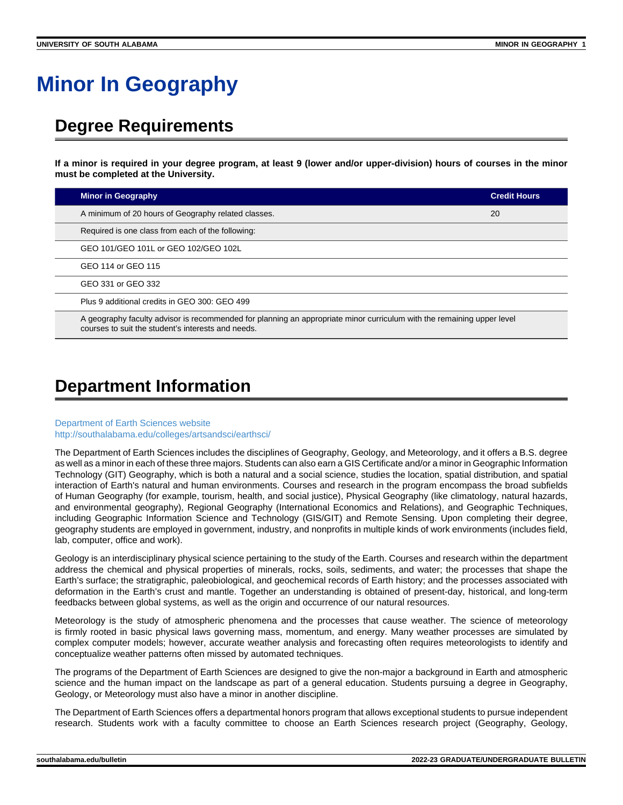# **Minor In Geography**

## **Degree Requirements**

**If a minor is required in your degree program, at least 9 (lower and/or upper-division) hours of courses in the minor must be completed at the University.**

| <b>Minor in Geography</b>                                                                                                                                                   | <b>Credit Hours</b> |
|-----------------------------------------------------------------------------------------------------------------------------------------------------------------------------|---------------------|
| A minimum of 20 hours of Geography related classes.                                                                                                                         | 20                  |
| Required is one class from each of the following:                                                                                                                           |                     |
| GEO 101/GEO 101L or GEO 102/GEO 102L                                                                                                                                        |                     |
| GEO 114 or GEO 115                                                                                                                                                          |                     |
| GEO 331 or GEO 332                                                                                                                                                          |                     |
| Plus 9 additional credits in GEO 300: GEO 499                                                                                                                               |                     |
| A geography faculty advisor is recommended for planning an appropriate minor curriculum with the remaining upper level<br>courses to suit the student's interests and needs |                     |

## **Department Information**

#### [Department of Earth Sciences website](https://www.southalabama.edu/earthsci/) [http://southalabama.edu/colleges/artsandsci/earthsci/](https://www.southalabama.edu/colleges/artsandsci/earthsci/)

The Department of Earth Sciences includes the disciplines of Geography, Geology, and Meteorology, and it offers a B.S. degree as well as a minor in each of these three majors. Students can also earn a GIS Certificate and/or a minor in Geographic Information Technology (GIT) Geography, which is both a natural and a social science, studies the location, spatial distribution, and spatial interaction of Earth's natural and human environments. Courses and research in the program encompass the broad subfields of Human Geography (for example, tourism, health, and social justice), Physical Geography (like climatology, natural hazards, and environmental geography), Regional Geography (International Economics and Relations), and Geographic Techniques, including Geographic Information Science and Technology (GIS/GIT) and Remote Sensing. Upon completing their degree, geography students are employed in government, industry, and nonprofits in multiple kinds of work environments (includes field, lab, computer, office and work).

Geology is an interdisciplinary physical science pertaining to the study of the Earth. Courses and research within the department address the chemical and physical properties of minerals, rocks, soils, sediments, and water; the processes that shape the Earth's surface; the stratigraphic, paleobiological, and geochemical records of Earth history; and the processes associated with deformation in the Earth's crust and mantle. Together an understanding is obtained of present-day, historical, and long-term feedbacks between global systems, as well as the origin and occurrence of our natural resources.

Meteorology is the study of atmospheric phenomena and the processes that cause weather. The science of meteorology is firmly rooted in basic physical laws governing mass, momentum, and energy. Many weather processes are simulated by complex computer models; however, accurate weather analysis and forecasting often requires meteorologists to identify and conceptualize weather patterns often missed by automated techniques.

The programs of the Department of Earth Sciences are designed to give the non-major a background in Earth and atmospheric science and the human impact on the landscape as part of a general education. Students pursuing a degree in Geography, Geology, or Meteorology must also have a minor in another discipline.

The Department of Earth Sciences offers a departmental honors program that allows exceptional students to pursue independent research. Students work with a faculty committee to choose an Earth Sciences research project (Geography, Geology,